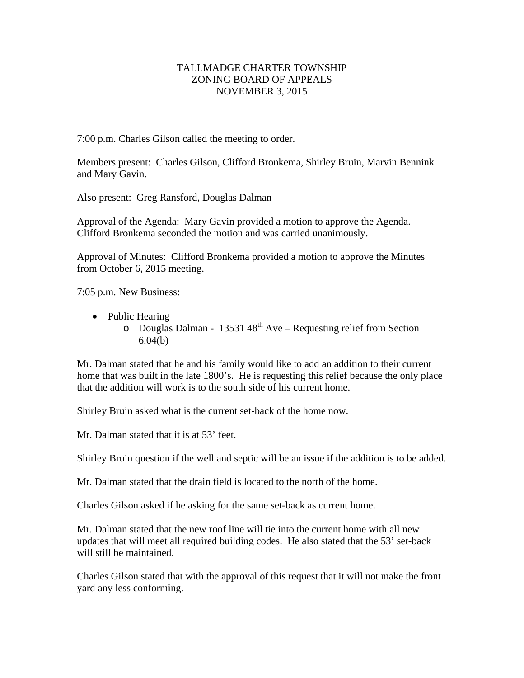## TALLMADGE CHARTER TOWNSHIP ZONING BOARD OF APPEALS NOVEMBER 3, 2015

7:00 p.m. Charles Gilson called the meeting to order.

Members present: Charles Gilson, Clifford Bronkema, Shirley Bruin, Marvin Bennink and Mary Gavin.

Also present: Greg Ransford, Douglas Dalman

Approval of the Agenda: Mary Gavin provided a motion to approve the Agenda. Clifford Bronkema seconded the motion and was carried unanimously.

Approval of Minutes: Clifford Bronkema provided a motion to approve the Minutes from October 6, 2015 meeting.

7:05 p.m. New Business:

- Public Hearing
	- $\degree$  Douglas Dalman 13531 48<sup>th</sup> Ave Requesting relief from Section 6.04(b)

Mr. Dalman stated that he and his family would like to add an addition to their current home that was built in the late 1800's. He is requesting this relief because the only place that the addition will work is to the south side of his current home.

Shirley Bruin asked what is the current set-back of the home now.

Mr. Dalman stated that it is at 53' feet.

Shirley Bruin question if the well and septic will be an issue if the addition is to be added.

Mr. Dalman stated that the drain field is located to the north of the home.

Charles Gilson asked if he asking for the same set-back as current home.

Mr. Dalman stated that the new roof line will tie into the current home with all new updates that will meet all required building codes. He also stated that the 53' set-back will still be maintained.

Charles Gilson stated that with the approval of this request that it will not make the front yard any less conforming.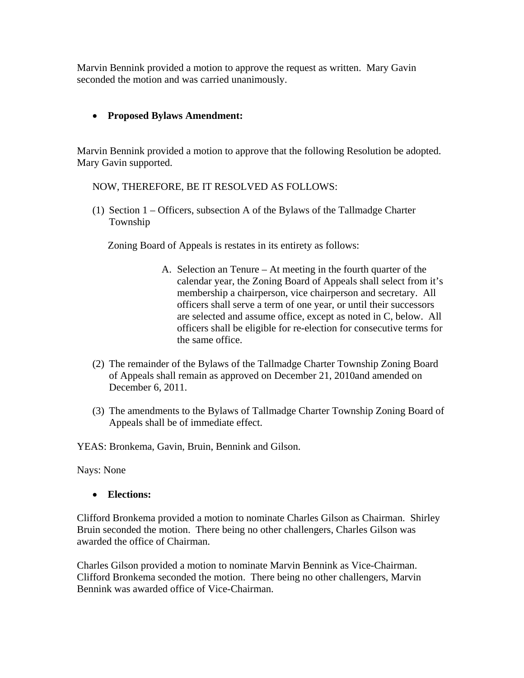Marvin Bennink provided a motion to approve the request as written. Mary Gavin seconded the motion and was carried unanimously.

## **Proposed Bylaws Amendment:**

Marvin Bennink provided a motion to approve that the following Resolution be adopted. Mary Gavin supported.

## NOW, THEREFORE, BE IT RESOLVED AS FOLLOWS:

(1) Section 1 – Officers, subsection A of the Bylaws of the Tallmadge Charter Township

Zoning Board of Appeals is restates in its entirety as follows:

- A. Selection an Tenure At meeting in the fourth quarter of the calendar year, the Zoning Board of Appeals shall select from it's membership a chairperson, vice chairperson and secretary. All officers shall serve a term of one year, or until their successors are selected and assume office, except as noted in C, below. All officers shall be eligible for re-election for consecutive terms for the same office.
- (2) The remainder of the Bylaws of the Tallmadge Charter Township Zoning Board of Appeals shall remain as approved on December 21, 2010and amended on December 6, 2011.
- (3) The amendments to the Bylaws of Tallmadge Charter Township Zoning Board of Appeals shall be of immediate effect.

YEAS: Bronkema, Gavin, Bruin, Bennink and Gilson.

Nays: None

**Elections:** 

Clifford Bronkema provided a motion to nominate Charles Gilson as Chairman. Shirley Bruin seconded the motion. There being no other challengers, Charles Gilson was awarded the office of Chairman.

Charles Gilson provided a motion to nominate Marvin Bennink as Vice-Chairman. Clifford Bronkema seconded the motion. There being no other challengers, Marvin Bennink was awarded office of Vice-Chairman.